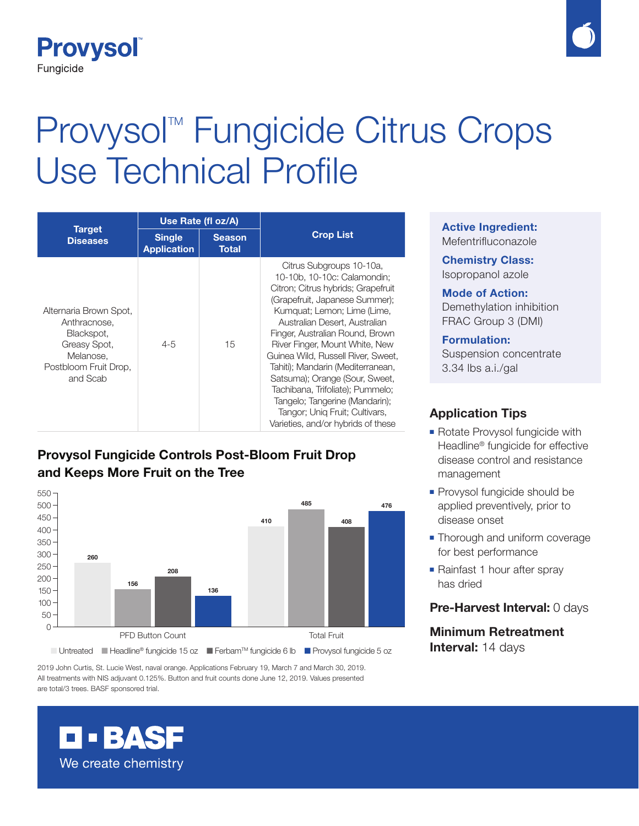

# Provysol<sup>™</sup> Fungicide Citrus Crops Use Technical Profile

| <b>Target</b><br><b>Diseases</b>                                                                                       | Use Rate (fl oz/A)                  |                               |                                                                                                                                                                                                                                                                                                                                                                                                                                                                                                                                 |
|------------------------------------------------------------------------------------------------------------------------|-------------------------------------|-------------------------------|---------------------------------------------------------------------------------------------------------------------------------------------------------------------------------------------------------------------------------------------------------------------------------------------------------------------------------------------------------------------------------------------------------------------------------------------------------------------------------------------------------------------------------|
|                                                                                                                        | <b>Single</b><br><b>Application</b> | <b>Season</b><br><b>Total</b> | <b>Crop List</b>                                                                                                                                                                                                                                                                                                                                                                                                                                                                                                                |
| Alternaria Brown Spot,<br>Anthracnose.<br>Blackspot,<br>Greasy Spot,<br>Melanose.<br>Postbloom Fruit Drop,<br>and Scab | $4 - 5$                             | 15                            | Citrus Subgroups 10-10a,<br>10-10b, 10-10c: Calamondin;<br>Citron; Citrus hybrids; Grapefruit<br>(Grapefruit, Japanese Summer);<br>Kumquat: Lemon: Lime (Lime,<br>Australian Desert, Australian<br>Finger, Australian Round, Brown<br>River Finger, Mount White, New<br>Guinea Wild, Russell River, Sweet,<br>Tahiti); Mandarin (Mediterranean,<br>Satsuma); Orange (Sour, Sweet,<br>Tachibana, Trifoliate); Pummelo;<br>Tangelo; Tangerine (Mandarin);<br>Tangor; Unig Fruit; Cultivars,<br>Varieties, and/or hybrids of these |

# **Provysol Fungicide Controls Post-Bloom Fruit Drop and Keeps More Fruit on the Tree**



2019 John Curtis, St. Lucie West, naval orange. Applications February 19, March 7 and March 30, 2019. All treatments with NIS adjuvant 0.125%. Button and fruit counts done June 12, 2019. Values presented are total/3 trees. BASF sponsored trial.

#### **Active Ingredient:** Mefentrifluconazole

**Chemistry Class:** Isopropanol azole

**Mode of Action:** Demethylation inhibition FRAC Group 3 (DMI)

**Formulation:** Suspension concentrate 3.34 lbs a.i./gal

## **Application Tips**

- Rotate Provysol fungicide with Headline® fungicide for effective disease control and resistance management
- **Provysol fungicide should be** applied preventively, prior to disease onset
- **Thorough and uniform coverage** for best performance
- Rainfast 1 hour after spray has dried

#### **Pre-Harvest Interval:** 0 days

**Minimum Retreatment Interval:** 14 days